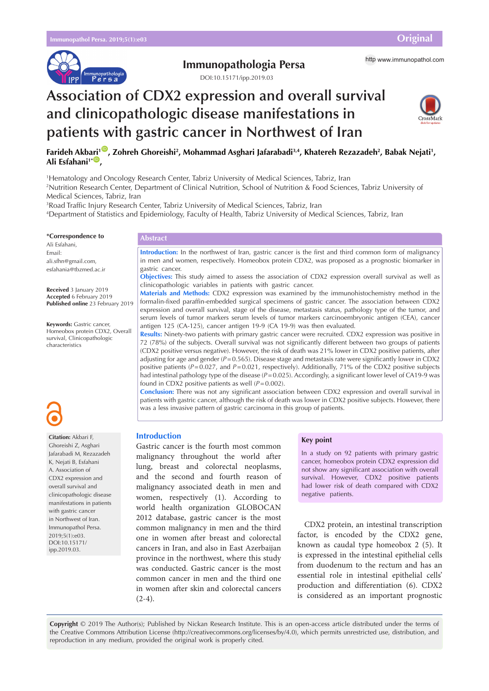

## **Immunopathologia Persa** http [www.immunopathol.com](http://www.immunopathol.com)

DOI[:10.15171/ipp.2019.03](https://doi.org/10.15171/ipp.2019.03)

# **Association of CDX2 expression and overall survival and clinicopathologic disease manifestations in patients with gastric cancer in Northwest of Iran**



## **F[ari](http://orcid.org/0000-0002-5278-3049)deh Akbari<sup>1®</sup>, Zohreh Ghoreishi<sup>2</sup>, Mohammad Asghari Jafarabadi<sup>3,4</sup>, Khatereh Rezazadeh<sup>2</sup>, Babak Nejati<sup>1</sup>, Ali Esfahani<sup>1\*</sup><sup>1</sup></del>,**

1 Hematology and Oncology Research Center, Tabriz University of Medical Sciences, Tabriz, Iran

2 Nutrition Research Center, Department of Clinical Nutrition, School of Nutrition & Food Sciences, Tabriz University of Medical Sciences, Tabriz, Iran

3 Road Traffic Injury Research Center, Tabriz University of Medical Sciences, Tabriz, Iran

4 Department of Statistics and Epidemiology, Faculty of Health, Tabriz University of Medical Sciences, Tabriz, Iran

**\*Correspondence to**

Ali Esfahani, Email: ali.sfhn@gmail.com, esfahania@tbzmed.ac.ir

**Received** 3 January 2019 **Accepted** 6 February 2019 **Published online** 23 February 2019

**Keywords:** Gastric cancer, Homeobox protein CDX2, Overall survival, Clinicopathologic characteristics



**Citation:** Akbari F, Ghoreishi Z, Asghari Jafarabadi M, Rezazadeh K, Nejati B, Esfahani A. Association of CDX2 expression and overall survival and clinicopathologic disease manifestations in patients with gastric cancer in Northwest of Iran. Immunopathol Persa. 2019;5(1):e03. DOI:10.15171/ ipp.2019.03.

## **Abstract**

**Introduction:** In the northwest of Iran, gastric cancer is the first and third common form of malignancy in men and women, respectively. Homeobox protein CDX2, was proposed as a prognostic biomarker in gastric cancer.

**Objectives:** This study aimed to assess the association of CDX2 expression overall survival as well as clinicopathologic variables in patients with gastric cancer.

**Materials and Methods:** CDX2 expression was examined by the immunohistochemistry method in the formalin-fixed paraffin-embedded surgical specimens of gastric cancer. The association between CDX2 expression and overall survival, stage of the disease, metastasis status, pathology type of the tumor, and serum levels of tumor markers serum levels of tumor markers carcinoembryonic antigen (CEA), cancer antigen 125 (CA-125), cancer antigen 19-9 (CA 19-9) was then evaluated.

**Results:** Ninety-two patients with primary gastric cancer were recruited. CDX2 expression was positive in 72 (78%) of the subjects. Overall survival was not significantly different between two groups of patients (CDX2 positive versus negative). However, the risk of death was 21% lower in CDX2 positive patients, after adjusting for age and gender (*P*=0.565). Disease stage and metastasis rate were significantly lower in CDX2 positive patients (*P*=0.027, and *P*=0.021, respectively). Additionally, 71% of the CDX2 positive subjects had intestinal pathology type of the disease ( $P=0.025$ ). Accordingly, a significant lower level of CA19-9 was found in CDX2 positive patients as well (*P*=0.002).

**Conclusion:** There was not any significant association between CDX2 expression and overall survival in patients with gastric cancer, although the risk of death was lower in CDX2 positive subjects. However, there was a less invasive pattern of gastric carcinoma in this group of patients.

## **Introduction**

Gastric cancer is the fourth most common malignancy throughout the world after lung, breast and colorectal neoplasms, and the second and fourth reason of malignancy associated death in men and women, respectively (1). According to world health organization GLOBOCAN 2012 database, gastric cancer is the most common malignancy in men and the third one in women after breast and colorectal cancers in Iran, and also in East Azerbaijan province in the northwest, where this study was conducted. Gastric cancer is the most common cancer in men and the third one in women after skin and colorectal cancers  $(2-4)$ .

## **Key point**

In a study on 92 patients with primary gastric cancer, homeobox protein CDX2 expression did not show any significant association with overall survival. However, CDX2 positive patients had lower risk of death compared with CDX2 negative patients.

CDX2 protein, an intestinal transcription factor, is encoded by the CDX2 gene, known as caudal type homeobox 2 (5). It is expressed in the intestinal epithelial cells from duodenum to the rectum and has an essential role in intestinal epithelial cells' production and differentiation (6). CDX2 is considered as an important prognostic

**Copyright** © 2019 The Author(s); Published by Nickan Research Institute. This is an open-access article distributed under the terms of the Creative Commons Attribution License (http://creativecommons.org/licenses/by/4.0), which permits unrestricted use, distribution, and reproduction in any medium, provided the original work is properly cited.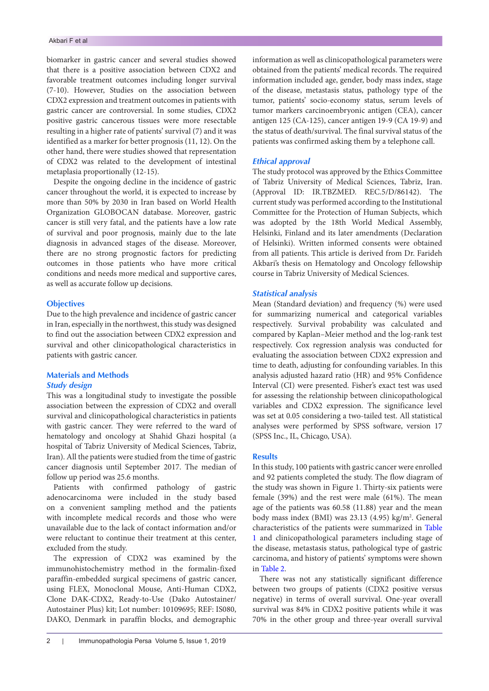biomarker in gastric cancer and several studies showed that there is a positive association between CDX2 and favorable treatment outcomes including longer survival (7-10). However, Studies on the association between CDX2 expression and treatment outcomes in patients with gastric cancer are controversial. In some studies, CDX2 positive gastric cancerous tissues were more resectable resulting in a higher rate of patients' survival (7) and it was identified as a marker for better prognosis (11, 12). On the other hand, there were studies showed that representation of CDX2 was related to the development of intestinal metaplasia proportionally (12-15).

Despite the ongoing decline in the incidence of gastric cancer throughout the world, it is expected to increase by more than 50% by 2030 in Iran based on World Health Organization GLOBOCAN database. Moreover, gastric cancer is still very fatal, and the patients have a low rate of survival and poor prognosis, mainly due to the late diagnosis in advanced stages of the disease. Moreover, there are no strong prognostic factors for predicting outcomes in those patients who have more critical conditions and needs more medical and supportive cares, as well as accurate follow up decisions.

## **Objectives**

Due to the high prevalence and incidence of gastric cancer in Iran, especially in the northwest, this study was designed to find out the association between CDX2 expression and survival and other clinicopathological characteristics in patients with gastric cancer.

## **Materials and Methods**

## *Study design*

This was a longitudinal study to investigate the possible association between the expression of CDX2 and overall survival and clinicopathological characteristics in patients with gastric cancer. They were referred to the ward of hematology and oncology at Shahid Ghazi hospital (a hospital of Tabriz University of Medical Sciences, Tabriz, Iran). All the patients were studied from the time of gastric cancer diagnosis until September 2017. The median of follow up period was 25.6 months.

Patients with confirmed pathology of gastric adenocarcinoma were included in the study based on a convenient sampling method and the patients with incomplete medical records and those who were unavailable due to the lack of contact information and/or were reluctant to continue their treatment at this center, excluded from the study.

The expression of CDX2 was examined by the immunohistochemistry method in the formalin-fixed paraffin-embedded surgical specimens of gastric cancer, using FLEX, Monoclonal Mouse, Anti-Human CDX2, Clone DAK-CDX2, Ready-to-Use (Dako Autostainer/ Autostainer Plus) kit; Lot number: 10109695; REF: IS080, DAKO, Denmark in paraffin blocks, and demographic

information as well as clinicopathological parameters were obtained from the patients' medical records. The required information included age, gender, body mass index, stage of the disease, metastasis status, pathology type of the tumor, patients' socio-economy status, serum levels of tumor markers carcinoembryonic antigen (CEA), cancer antigen 125 (CA-125), cancer antigen 19-9 (CA 19-9) and the status of death/survival. The final survival status of the patients was confirmed asking them by a telephone call.

## *Ethical approval*

The study protocol was approved by the Ethics Committee of Tabriz University of Medical Sciences, Tabriz, Iran. (Approval ID: IR.TBZMED. REC.5/D/86142). The current study was performed according to the Institutional Committee for the Protection of Human Subjects, which was adopted by the 18th World Medical Assembly, Helsinki, Finland and its later amendments (Declaration of Helsinki). Written informed consents were obtained from all patients. This article is derived from Dr. Farideh Akbari's thesis on Hematology and Oncology fellowship course in Tabriz University of Medical Sciences.

## *Statistical analysis*

Mean (Standard deviation) and frequency (%) were used for summarizing numerical and categorical variables respectively. Survival probability was calculated and compared by Kaplan–Meier method and the log-rank test respectively. Cox regression analysis was conducted for evaluating the association between CDX2 expression and time to death, adjusting for confounding variables. In this analysis adjusted hazard ratio (HR) and 95% Confidence Interval (CI) were presented. Fisher's exact test was used for assessing the relationship between clinicopathological variables and CDX2 expression. The significance level was set at 0.05 considering a two-tailed test. All statistical analyses were performed by SPSS software, version 17 (SPSS Inc., IL, Chicago, USA).

## **Results**

In this study, 100 patients with gastric cancer were enrolled and 92 patients completed the study. The flow diagram of the study was shown in Figure 1. Thirty-six patients were female (39%) and the rest were male (61%). The mean age of the patients was 60.58 (11.88) year and the mean body mass index (BMI) was 23.13 (4.95) kg/m<sup>2</sup>. General characteristics of the patients were summarized in [Table](#page-2-0)  [1](#page-2-0) and clinicopathological parameters including stage of the disease, metastasis status, pathological type of gastric carcinoma, and history of patients' symptoms were shown in [Table 2](#page-2-1).

There was not any statistically significant difference between two groups of patients (CDX2 positive versus negative) in terms of overall survival. One-year overall survival was 84% in CDX2 positive patients while it was 70% in the other group and three-year overall survival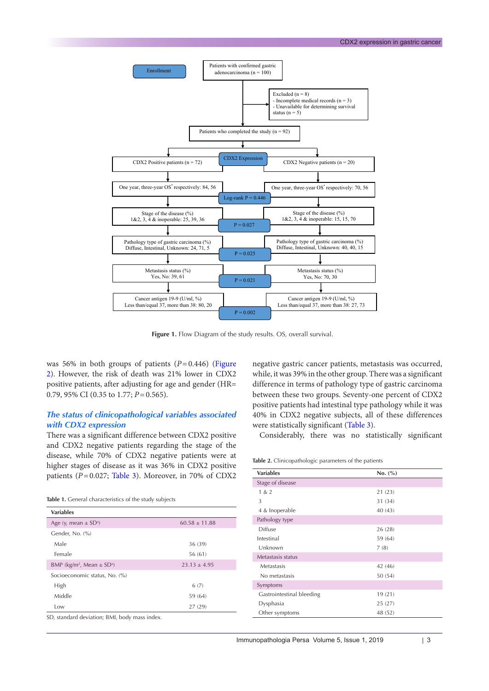

Figure 1. Flow Diagram of the study results. OS, overall survival.

was 56% in both groups of patients  $(P=0.446)$  (Figure [2](#page-3-1)). However, the risk of death was 21% lower in CDX2 positive patients, after adjusting for age and gender (HR= 0.79, 95% CI (0.35 to 1.77; *P*=0.565).

## *The status of clinicopathological variables associated with CDX2 expression*

There was a significant difference between CDX2 positive and CDX2 negative patients regarding the stage of the disease, while 70% of CDX2 negative patients were at higher stages of disease as it was 36% in CDX2 positive patients (*P*=0.027; [Table 3\)](#page-3-0). Moreover, in 70% of CDX2

<span id="page-2-0"></span>

| Table 1. General characteristics of the study subjects |  |
|--------------------------------------------------------|--|
|--------------------------------------------------------|--|

| $60.58 \pm 11.88$                             |
|-----------------------------------------------|
|                                               |
| 36 (39)                                       |
| 56 (61)                                       |
| $23.13 \pm 4.95$                              |
|                                               |
| 6(7)                                          |
| 59 (64)                                       |
| 27 (29)                                       |
| $\mathcal{C}$ . If it is not if $\mathcal{C}$ |

SD, standard deviation; BMI, body mass index.

negative gastric cancer patients, metastasis was occurred, while, it was 39% in the other group. There was a significant difference in terms of pathology type of gastric carcinoma between these two groups. Seventy-one percent of CDX2 positive patients had intestinal type pathology while it was 40% in CDX2 negative subjects, all of these differences were statistically significant ([Table 3](#page-3-0)).

Considerably, there was no statistically significant

## <span id="page-2-1"></span>**Table 2.** Clinicopathologic parameters of the patients

| <b>Variables</b>          | No. (%) |
|---------------------------|---------|
| Stage of disease          |         |
| 1 & 2                     | 21(23)  |
| 3                         | 31 (34) |
| 4 & Inoperable            | 40 (43) |
| Pathology type            |         |
| Diffuse                   | 26(28)  |
| Intestinal                | 59 (64) |
| Unknown                   | 7(8)    |
| Metastasis status         |         |
| Metastasis                | 42 (46) |
| No metastasis             | 50 (54) |
| Symptoms                  |         |
| Gastrointestinal bleeding | 19(21)  |
| Dysphasia                 | 25(27)  |
| Other symptoms            | 48 (52) |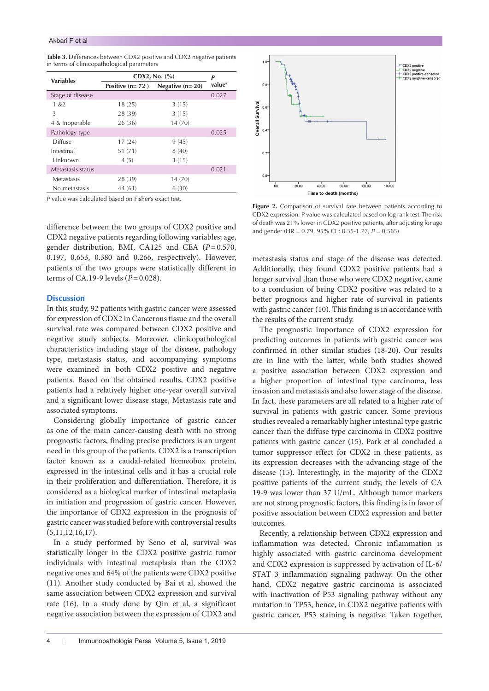<span id="page-3-0"></span>

|                                            | Table 3. Differences between CDX2 positive and CDX2 negative patients |
|--------------------------------------------|-----------------------------------------------------------------------|
| in terms of clinicopathological parameters |                                                                       |

| <b>Variables</b>  | CDX2, No. $(\% )$ |                   | P                  |
|-------------------|-------------------|-------------------|--------------------|
|                   | Positive $(n=72)$ | Negative $(n=20)$ | value <sup>a</sup> |
| Stage of disease  |                   |                   | 0.027              |
| 1 & 2             | 18(25)            | 3(15)             |                    |
| 3                 | 28 (39)           | 3(15)             |                    |
| 4 & Inoperable    | 26 (36)           | 14 (70)           |                    |
| Pathology type    |                   |                   | 0.025              |
| Diffuse           | 17(24)            | 9(45)             |                    |
| Intestinal        | 51 (71)           | 8(40)             |                    |
| Unknown           | 4(5)              | 3(15)             |                    |
| Metastasis status |                   |                   | 0.021              |
| Metastasis        | 28 (39)           | 14 (70)           |                    |
| No metastasis     | 44 (61)           | 6(30)             |                    |

*P* value was calculated based on Fisher's exact test.

difference between the two groups of CDX2 positive and CDX2 negative patients regarding following variables; age, gender distribution, BMI, CA125 and CEA (*P*=0.570, 0.197, 0.653, 0.380 and 0.266, respectively). However, patients of the two groups were statistically different in terms of CA.19-9 levels (*P*=0.028).

## **Discussion**

In this study, 92 patients with gastric cancer were assessed for expression of CDX2 in Cancerous tissue and the overall survival rate was compared between CDX2 positive and negative study subjects. Moreover, clinicopathological characteristics including stage of the disease, pathology type, metastasis status, and accompanying symptoms were examined in both CDX2 positive and negative patients. Based on the obtained results, CDX2 positive patients had a relatively higher one-year overall survival and a significant lower disease stage, Metastasis rate and associated symptoms.

Considering globally importance of gastric cancer as one of the main cancer-causing death with no strong prognostic factors, finding precise predictors is an urgent need in this group of the patients. CDX2 is a transcription factor known as a caudal-related homeobox protein, expressed in the intestinal cells and it has a crucial role in their proliferation and differentiation. Therefore, it is considered as a biological marker of intestinal metaplasia in initiation and progression of gastric cancer. However, the importance of CDX2 expression in the prognosis of gastric cancer was studied before with controversial results (5,11,12,16,17).

In a study performed by Seno et al, survival was statistically longer in the CDX2 positive gastric tumor individuals with intestinal metaplasia than the CDX2 negative ones and 64% of the patients were CDX2 positive (11). Another study conducted by Bai et al, showed the same association between CDX2 expression and survival rate (16). In a study done by Qin et al, a significant negative association between the expression of CDX2 and

<span id="page-3-1"></span>

Figure 2. Comparison of survival rate between patients according to CDX2 expression. P value was calculated based on log rank test. The risk of death was 21% lower in CDX2 positive patients, after adjusting for age and gender (HR = 0.79, 95% CI : 0.35-1.77, *P* = 0.565)

metastasis status and stage of the disease was detected. Additionally, they found CDX2 positive patients had a longer survival than those who were CDX2 negative, came to a conclusion of being CDX2 positive was related to a better prognosis and higher rate of survival in patients with gastric cancer (10). This finding is in accordance with the results of the current study.

The prognostic importance of CDX2 expression for predicting outcomes in patients with gastric cancer was confirmed in other similar studies (18-20). Our results are in line with the latter, while both studies showed a positive association between CDX2 expression and a higher proportion of intestinal type carcinoma, less invasion and metastasis and also lower stage of the disease. In fact, these parameters are all related to a higher rate of survival in patients with gastric cancer. Some previous studies revealed a remarkably higher intestinal type gastric cancer than the diffuse type carcinoma in CDX2 positive patients with gastric cancer (15). Park et al concluded a tumor suppressor effect for CDX2 in these patients, as its expression decreases with the advancing stage of the disease (15). Interestingly, in the majority of the CDX2 positive patients of the current study, the levels of CA 19-9 was lower than 37 U/mL. Although tumor markers are not strong prognostic factors, this finding is in favor of positive association between CDX2 expression and better outcomes.

Recently, a relationship between CDX2 expression and inflammation was detected. Chronic inflammation is highly associated with gastric carcinoma development and CDX2 expression is suppressed by activation of IL-6/ STAT 3 inflammation signaling pathway. On the other hand, CDX2 negative gastric carcinoma is associated with inactivation of P53 signaling pathway without any mutation in TP53, hence, in CDX2 negative patients with gastric cancer, P53 staining is negative. Taken together,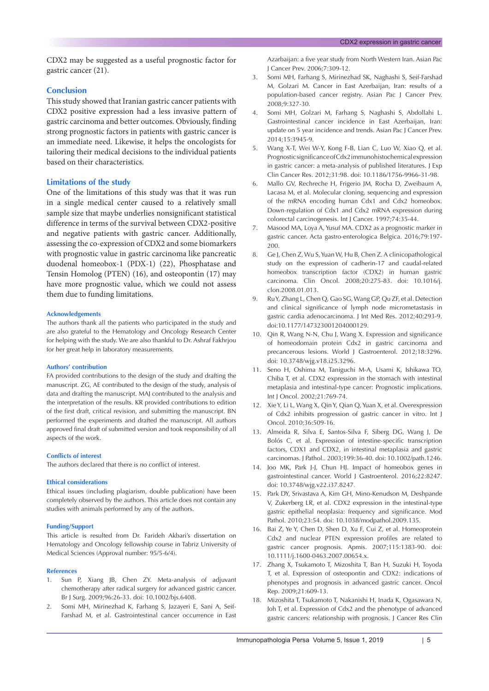CDX2 may be suggested as a useful prognostic factor for gastric cancer (21).

## **Conclusion**

This study showed that Iranian gastric cancer patients with CDX2 positive expression had a less invasive pattern of gastric carcinoma and better outcomes. Obviously, finding strong prognostic factors in patients with gastric cancer is an immediate need. Likewise, it helps the oncologists for tailoring their medical decisions to the individual patients based on their characteristics.

## **Limitations of the study**

One of the limitations of this study was that it was run in a single medical center caused to a relatively small sample size that maybe underlies nonsignificant statistical difference in terms of the survival between CDX2-positive and negative patients with gastric cancer. Additionally, assessing the co-expression of CDX2 and some biomarkers with prognostic value in gastric carcinoma like pancreatic duodenal homeobox-1 (PDX-1) (22), Phosphatase and Tensin Homolog (PTEN) (16), and osteopontin (17) may have more prognostic value, which we could not assess them due to funding limitations.

#### **Acknowledgements**

The authors thank all the patients who participated in the study and are also grateful to the Hematology and Oncology Research Center for helping with the study. We are also thankful to Dr. Ashraf Fakhrjou for her great help in laboratory measurements.

#### **Authors' contribution**

FA provided contributions to the design of the study and drafting the manuscript. ZG, AE contributed to the design of the study, analysis of data and drafting the manuscript. MAJ contributed to the analysis and the interpretation of the results. KR provided contributions to edition of the first draft, critical revision, and submitting the manuscript. BN performed the experiments and drafted the manuscript. All authors approved final draft of submitted version and took responsibility of all aspects of the work.

#### **Conflicts of interest**

The authors declared that there is no conflict of interest.

## **Ethical considerations**

Ethical issues (including plagiarism, double publication) have been completely observed by the authors. This article does not contain any studies with animals performed by any of the authors.

### **Funding/Support**

This article is resulted from Dr. Farideh Akbari's dissertation on Hematology and Oncology fellowship course in Tabriz University of Medical Sciences (Approval number: 95/5-6/4).

## **References**

- 1. Sun P, Xiang JB, Chen ZY. Meta‐analysis of adjuvant chemotherapy after radical surgery for advanced gastric cancer. Br J Surg. 2009;96:26-33. doi: 10.1002/bjs.6408.
- 2. Somi MH, Mirinezhad K, Farhang S, Jazayeri E, Sani A, Seif-Farshad M, et al. Gastrointestinal cancer occurrence in East

Azarbaijan: a five year study from North Western Iran. Asian Pac J Cancer Prev. 2006;7:309-12.

- 3. Somi MH, Farhang S, Mirinezhad SK, Naghashi S, Seif-Farshad M, Golzari M. Cancer in East Azerbaijan, Iran: results of a population-based cancer registry. Asian Pac J Cancer Prev. 2008;9:327-30.
- 4. Somi MH, Golzari M, Farhang S, Naghashi S, Abdollahi L. Gastrointestinal cancer incidence in East Azerbaijan, Iran: update on 5 year incidence and trends. Asian Pac J Cancer Prev. 2014;15:3945-9.
- 5. Wang X-T, Wei W-Y, Kong F-B, Lian C, Luo W, Xiao Q, et al. Prognostic significance of Cdx2 immunohistochemical expression in gastric cancer: a meta-analysis of published literatures. J Exp Clin Cancer Res. 2012;31:98. doi: 10.1186/1756-9966-31-98.
- 6. Mallo GV, Rechreche H, Frigerio JM, Rocha D, Zweibaum A, Lacasa M, et al. Molecular cloning, sequencing and expression of the mRNA encoding human Cdx1 and Cdx2 homeobox. Down‐regulation of Cdx1 and Cdx2 mRNA expression during colorectal carcinogenesis. Int J Cancer. 1997;74:35-44.
- 7. Masood MA, Loya A, Yusuf MA. CDX2 as a prognostic marker in gastric cancer. Acta gastro-enterologica Belgica. 2016;79:197- 200.
- 8. Ge J, Chen Z, Wu S, Yuan W, Hu B, Chen Z. A clinicopathological study on the expression of cadherin-17 and caudal-related homeobox transcription factor (CDX2) in human gastric carcinoma. Clin Oncol. 2008;20:275-83. doi: 10.1016/j. clon.2008.01.013.
- 9. Ru Y, Zhang L, Chen Q, Gao SG, Wang GP, Qu ZF, et al. Detection and clinical significance of lymph node micrometastasis in gastric cardia adenocarcinoma. J Int Med Res. 2012;40:293-9. doi:10.1177/147323001204000129.
- 10. Qin R, Wang N-N, Chu J, Wang X. Expression and significance of homeodomain protein Cdx2 in gastric carcinoma and precancerous lesions. World J Gastroenterol. 2012;18:3296. doi: 10.3748/wjg.v18.i25.3296.
- 11. Seno H, Oshima M, Taniguchi M-A, Usami K, Ishikawa TO, Chiba T, et al. CDX2 expression in the stomach with intestinal metaplasia and intestinal-type cancer: Prognostic implications. Int J Oncol. 2002;21:769-74.
- 12. Xie Y, Li L, Wang X, Qin Y, Qian Q, Yuan X, et al. Overexpression of Cdx2 inhibits progression of gastric cancer in vitro. Int J Oncol. 2010;36:509-16.
- 13. Almeida R, Silva E, Santos‐Silva F, Siberg DG, Wang J, De Bolós C, et al. Expression of intestine‐specific transcription factors, CDX1 and CDX2, in intestinal metaplasia and gastric carcinomas. J Pathol.. 2003;199:36-40. doi: 10.1002/path.1246.
- 14. Joo MK, Park J-J, Chun HJ. Impact of homeobox genes in gastrointestinal cancer. World J Gastroenterol. 2016;22:8247. doi: 10.3748/wjg.v22.i37.8247.
- 15. Park DY, Srivastava A, Kim GH, Mino-Kenudson M, Deshpande V, Zukerberg LR, et al. CDX2 expression in the intestinal-type gastric epithelial neoplasia: frequency and significance. Mod Pathol. 2010;23:54. doi: 10.1038/modpathol.2009.135.
- 16. Bai Z, Ye Y, Chen D, Shen D, Xu F, Cui Z, et al. Homeoprotein Cdx2 and nuclear PTEN expression profiles are related to gastric cancer prognosis. Apmis. 2007;115:1383-90. doi: 10.1111/j.1600-0463.2007.00654.x.
- 17. Zhang X, Tsukamoto T, Mizoshita T, Ban H, Suzuki H, Toyoda T, et al. Expression of osteopontin and CDX2: indications of phenotypes and prognosis in advanced gastric cancer. Oncol Rep. 2009;21:609-13.
- 18. Mizoshita T, Tsukamoto T, Nakanishi H, Inada K, Ogasawara N, Joh T, et al. Expression of Cdx2 and the phenotype of advanced gastric cancers: relationship with prognosis. J Cancer Res Clin